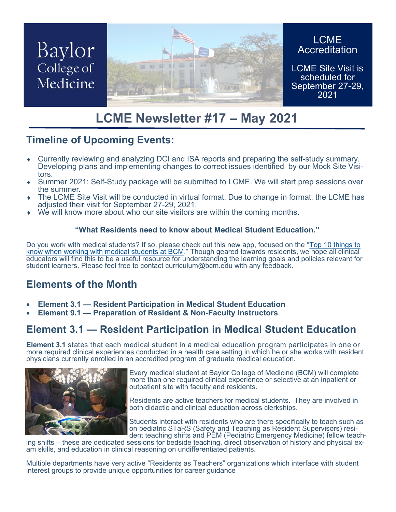

# **LCME Newsletter #17 – May 2021**

### **Timeline of Upcoming Events:**

- Currently reviewing and analyzing DCI and ISA reports and preparing the self-study summary. Developing plans and implementing changes to correct issues identified by our Mock Site Visitors.
- Summer 2021: Self-Study package will be submitted to LCME. We will start prep sessions over the summer.
- The LCME Site Visit will be conducted in virtual format. Due to change in format, the LCME has adjusted their visit for September 27-29, 2021.
- We will know more about who our site visitors are within the coming months.

### **"What Residents need to know about Medical Student Education."**

Do you work with medical students? If so, please check out this new app, focused on the "Top 10 things to [know when working with medical students at BCM."](https://apps.powerapps.com/play/a0065515-be66-482a-86fc-06160a2614ed?tenantId=a83dba53-124d-4d32-88f0-b72889a9e926) Though geared towards residents, we hope all clinical educators will find this to be a useful resource for understanding the learning goals and policies relevant for student learners. Please feel free to contact curriculum@bcm.edu with any feedback.

# **Elements of the Month**

- **Element 3.1 — Resident Participation in Medical Student Education**
- **Element 9.1 — Preparation of Resident & Non-Faculty Instructors**

# **Element 3.1 — Resident Participation in Medical Student Education**

**Element 3.1** states that each medical student in a medical education program participates in one or more required clinical experiences conducted in a health care setting in which he or she works with resident physicians currently enrolled in an accredited program of graduate medical education.



Every medical student at Baylor College of Medicine (BCM) will complete more than one required clinical experience or selective at an inpatient or outpatient site with faculty and residents.

Residents are active teachers for medical students. They are involved in both didactic and clinical education across clerkships.

Students interact with residents who are there specifically to teach such as on pediatric STaRS (Safety and Teaching as Resident Supervisors) resident teaching shifts and PÉM (Pediatric Emergency Medicine) fellow teach-

ing shifts – these are dedicated sessions for bedside teaching, direct observation of history and physical exam skills, and education in clinical reasoning on undifferentiated patients.

Multiple departments have very active "Residents as Teachers" organizations which interface with student interest groups to provide unique opportunities for career guidance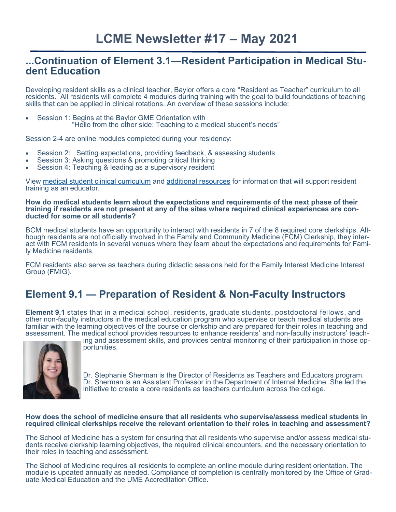### **...Continuation of Element 3.1—Resident Participation in Medical Student Education**

Developing resident skills as a clinical teacher, Baylor offers a core "Resident as Teacher" curriculum to all residents. All residents will complete 4 modules during training with the goal to build foundations of teaching skills that can be applied in clinical rotations. An overview of these sessions include:

 Session 1: Begins at the Baylor GME Orientation with "Hello from the other side: Teaching to a medical student's needs"

Session 2-4 are online modules completed during your residency:

- Session 2: Setting expectations, providing feedback, & assessing students
- Session 3: Asking questions & promoting critical thinking
- Session 4: Teaching & leading as a supervisory resident

View [medical student clinical curriculum](https://www.bcm.edu/education/school-of-medicine/graduate-medical-education/residents-as-teachers/medical-student-clinical-curriculum) and [additional resources](https://www.bcm.edu/education/school-of-medicine/graduate-medical-education/residents-as-teachers/additional-resources) for information that will support resident training as an educator.

**How do medical students learn about the expectations and requirements of the next phase of their training if residents are not present at any of the sites where required clinical experiences are conducted for some or all students?** 

BCM medical students have an opportunity to interact with residents in 7 of the 8 required core clerkships. Although residents are not officially involved in the Family and Community Medicine (FCM) Clerkship, they interact with FCM residents in several venues where they learn about the expectations and requirements for Family Medicine residents.

FCM residents also serve as teachers during didactic sessions held for the Family Interest Medicine Interest Group (FMIG).

# **Element 9.1 — Preparation of Resident & Non-Faculty Instructors**

**Element 9.1** states that in a medical school, residents, graduate students, postdoctoral fellows, and other non-faculty instructors in the medical education program who supervise or teach medical students are familiar with the learning objectives of the course or clerkship and are prepared for their roles in teaching and assessment. The medical school provides resources to enhance residents' and non-faculty instructors' teach-



ing and assessment skills, and provides central monitoring of their participation in those opportunities.

Dr. Stephanie Sherman is the Director of Residents as Teachers and Educators program. Dr. Sherman is an Assistant Professor in the Department of Internal Medicine. She led the initiative to create a core residents as teachers curriculum across the college.

#### **How does the school of medicine ensure that all residents who supervise/assess medical students in required clinical clerkships receive the relevant orientation to their roles in teaching and assessment?**

The School of Medicine has a system for ensuring that all residents who supervise and/or assess medical students receive clerkship learning objectives, the required clinical encounters, and the necessary orientation to their roles in teaching and assessment.

The School of Medicine requires all residents to complete an online module during resident orientation. The module is updated annually as needed. Compliance of completion is centrally monitored by the Office of Graduate Medical Education and the UME Accreditation Office.